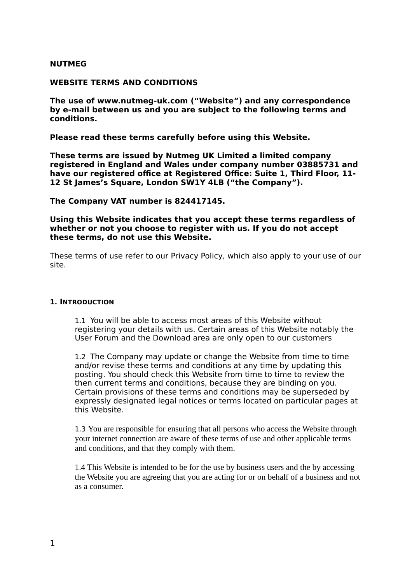## **NUTMEG**

### **WEBSITE TERMS AND CONDITIONS**

**The use of www.nutmeg-uk.com ("Website") and any correspondence by e-mail between us and you are subject to the following terms and conditions.** 

**Please read these terms carefully before using this Website.** 

**These terms are issued by Nutmeg UK Limited a limited company registered in England and Wales under company number 03885731 and have our registered office at Registered Office: Suite 1, Third Floor, 11- 12 St James's Square, London SW1Y 4LB ("the Company").**

**The Company VAT number is 824417145.** 

**Using this Website indicates that you accept these terms regardless of whether or not you choose to register with us. If you do not accept these terms, do not use this Website.**

These terms of use refer to our Privacy Policy, which also apply to your use of our site.

#### **1. INTRODUCTION**

1.1 You will be able to access most areas of this Website without registering your details with us. Certain areas of this Website notably the User Forum and the Download area are only open to our customers

1.2 The Company may update or change the Website from time to time and/or revise these terms and conditions at any time by updating this posting. You should check this Website from time to time to review the then current terms and conditions, because they are binding on you. Certain provisions of these terms and conditions may be superseded by expressly designated legal notices or terms located on particular pages at this Website.

1.3 You are responsible for ensuring that all persons who access the Website through your internet connection are aware of these terms of use and other applicable terms and conditions, and that they comply with them.

1.4 This Website is intended to be for the use by business users and the by accessing the Website you are agreeing that you are acting for or on behalf of a business and not as a consumer.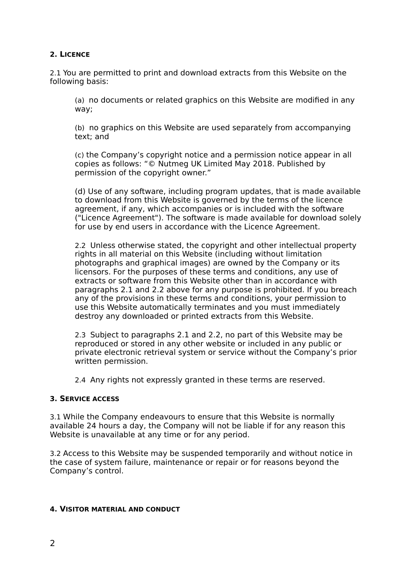## **2. LICENCE**

2.1 You are permitted to print and download extracts from this Website on the following basis:

(a) no documents or related graphics on this Website are modified in any way;

(b) no graphics on this Website are used separately from accompanying text; and

(c) the Company's copyright notice and a permission notice appear in all copies as follows: "© Nutmeg UK Limited May 2018. Published by permission of the copyright owner."

(d) Use of any software, including program updates, that is made available to download from this Website is governed by the terms of the licence agreement, if any, which accompanies or is included with the software ("Licence Agreement"). The software is made available for download solely for use by end users in accordance with the Licence Agreement.

2.2 Unless otherwise stated, the copyright and other intellectual property rights in all material on this Website (including without limitation photographs and graphical images) are owned by the Company or its licensors. For the purposes of these terms and conditions, any use of extracts or software from this Website other than in accordance with paragraphs 2.1 and 2.2 above for any purpose is prohibited. If you breach any of the provisions in these terms and conditions, your permission to use this Website automatically terminates and you must immediately destroy any downloaded or printed extracts from this Website.

2.3 Subject to paragraphs 2.1 and 2.2, no part of this Website may be reproduced or stored in any other website or included in any public or private electronic retrieval system or service without the Company's prior written permission.

2.4 Any rights not expressly granted in these terms are reserved.

## **3. SERVICE ACCESS**

3.1 While the Company endeavours to ensure that this Website is normally available 24 hours a day, the Company will not be liable if for any reason this Website is unavailable at any time or for any period.

3.2 Access to this Website may be suspended temporarily and without notice in the case of system failure, maintenance or repair or for reasons beyond the Company's control.

## **4. VISITOR MATERIAL AND CONDUCT**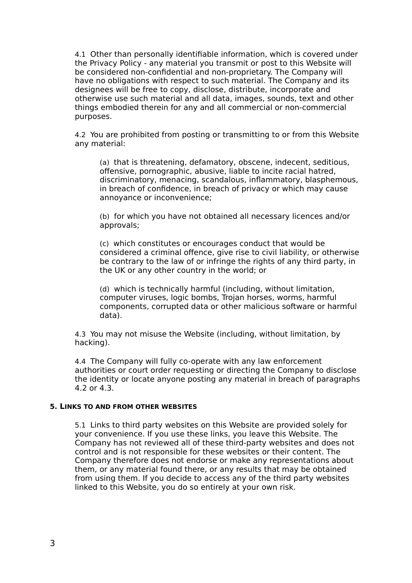4.1 Other than personally identifiable information, which is covered under the Privacy Policy - any material you transmit or post to this Website will be considered non-confidential and non-proprietary. The Company will have no obligations with respect to such material. The Company and its designees will be free to copy, disclose, distribute, incorporate and otherwise use such material and all data, images, sounds, text and other things embodied therein for any and all commercial or non-commercial purposes.

4.2 You are prohibited from posting or transmitting to or from this Website any material:

(a) that is threatening, defamatory, obscene, indecent, seditious, offensive, pornographic, abusive, liable to incite racial hatred, discriminatory, menacing, scandalous, inflammatory, blasphemous, in breach of confidence, in breach of privacy or which may cause annoyance or inconvenience;

(b) for which you have not obtained all necessary licences and/or approvals;

(c) which constitutes or encourages conduct that would be considered a criminal offence, give rise to civil liability, or otherwise be contrary to the law of or infringe the rights of any third party, in the UK or any other country in the world; or

(d) which is technically harmful (including, without limitation, computer viruses, logic bombs, Trojan horses, worms, harmful components, corrupted data or other malicious software or harmful data).

4.3 You may not misuse the Website (including, without limitation, by hacking).

4.4 The Company will fully co-operate with any law enforcement authorities or court order requesting or directing the Company to disclose the identity or locate anyone posting any material in breach of paragraphs 4.2 or 4.3.

#### **5. LINKS TO AND FROM OTHER WEBSITES**

5.1 Links to third party websites on this Website are provided solely for your convenience. If you use these links, you leave this Website. The Company has not reviewed all of these third-party websites and does not control and is not responsible for these websites or their content. The Company therefore does not endorse or make any representations about them, or any material found there, or any results that may be obtained from using them. If you decide to access any of the third party websites linked to this Website, you do so entirely at your own risk.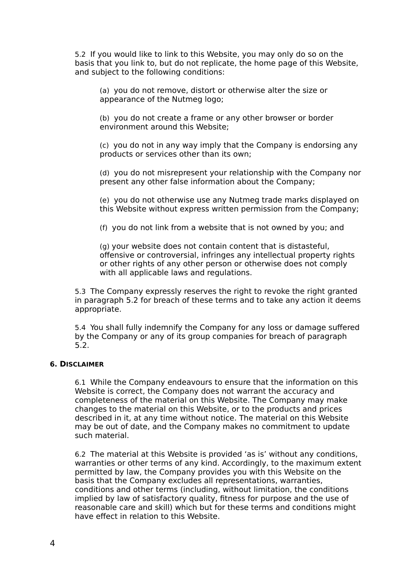5.2 If you would like to link to this Website, you may only do so on the basis that you link to, but do not replicate, the home page of this Website, and subject to the following conditions:

(a) you do not remove, distort or otherwise alter the size or appearance of the Nutmeg logo;

(b) you do not create a frame or any other browser or border environment around this Website;

(c) you do not in any way imply that the Company is endorsing any products or services other than its own;

(d) you do not misrepresent your relationship with the Company nor present any other false information about the Company;

(e) you do not otherwise use any Nutmeg trade marks displayed on this Website without express written permission from the Company;

(f) you do not link from a website that is not owned by you; and

(g) your website does not contain content that is distasteful, offensive or controversial, infringes any intellectual property rights or other rights of any other person or otherwise does not comply with all applicable laws and regulations.

5.3 The Company expressly reserves the right to revoke the right granted in paragraph 5.2 for breach of these terms and to take any action it deems appropriate.

5.4 You shall fully indemnify the Company for any loss or damage suffered by the Company or any of its group companies for breach of paragraph 5.2.

## **6. DISCLAIMER**

6.1 While the Company endeavours to ensure that the information on this Website is correct, the Company does not warrant the accuracy and completeness of the material on this Website. The Company may make changes to the material on this Website, or to the products and prices described in it, at any time without notice. The material on this Website may be out of date, and the Company makes no commitment to update such material.

6.2 The material at this Website is provided 'as is' without any conditions, warranties or other terms of any kind. Accordingly, to the maximum extent permitted by law, the Company provides you with this Website on the basis that the Company excludes all representations, warranties, conditions and other terms (including, without limitation, the conditions implied by law of satisfactory quality, fitness for purpose and the use of reasonable care and skill) which but for these terms and conditions might have effect in relation to this Website.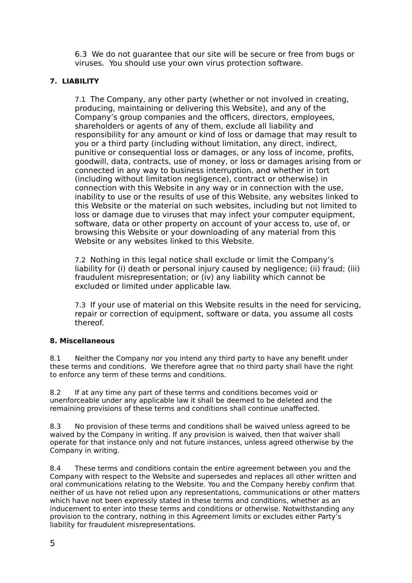6.3 We do not guarantee that our site will be secure or free from bugs or viruses. You should use your own virus protection software.

## **7. LIABILITY**

7.1 The Company, any other party (whether or not involved in creating, producing, maintaining or delivering this Website), and any of the Company's group companies and the officers, directors, employees, shareholders or agents of any of them, exclude all liability and responsibility for any amount or kind of loss or damage that may result to you or a third party (including without limitation, any direct, indirect, punitive or consequential loss or damages, or any loss of income, profits, goodwill, data, contracts, use of money, or loss or damages arising from or connected in any way to business interruption, and whether in tort (including without limitation negligence), contract or otherwise) in connection with this Website in any way or in connection with the use, inability to use or the results of use of this Website, any websites linked to this Website or the material on such websites, including but not limited to loss or damage due to viruses that may infect your computer equipment, software, data or other property on account of your access to, use of, or browsing this Website or your downloading of any material from this Website or any websites linked to this Website.

7.2 Nothing in this legal notice shall exclude or limit the Company's liability for (i) death or personal injury caused by negligence; (ii) fraud; (iii) fraudulent misrepresentation; or (iv) any liability which cannot be excluded or limited under applicable law.

7.3 If your use of material on this Website results in the need for servicing, repair or correction of equipment, software or data, you assume all costs thereof.

## **8. Miscellaneous**

8.1 Neither the Company nor you intend any third party to have any benefit under these terms and conditions. We therefore agree that no third party shall have the right to enforce any term of these terms and conditions.

8.2 If at any time any part of these terms and conditions becomes void or unenforceable under any applicable law it shall be deemed to be deleted and the remaining provisions of these terms and conditions shall continue unaffected.

8.3 No provision of these terms and conditions shall be waived unless agreed to be waived by the Company in writing. If any provision is waived, then that waiver shall operate for that instance only and not future instances, unless agreed otherwise by the Company in writing.

8.4 These terms and conditions contain the entire agreement between you and the Company with respect to the Website and supersedes and replaces all other written and oral communications relating to the Website. You and the Company hereby confirm that neither of us have not relied upon any representations, communications or other matters which have not been expressly stated in these terms and conditions, whether as an inducement to enter into these terms and conditions or otherwise. Notwithstanding any provision to the contrary, nothing in this Agreement limits or excludes either Party's liability for fraudulent misrepresentations.